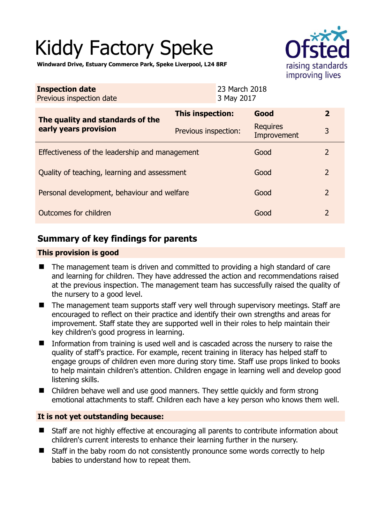# Kiddy Factory Speke



**Windward Drive, Estuary Commerce Park, Speke Liverpool, L24 8RF** 

| <b>Inspection date</b><br>Previous inspection date        | 23 March 2018<br>3 May 2017 |                                |                |
|-----------------------------------------------------------|-----------------------------|--------------------------------|----------------|
| The quality and standards of the<br>early years provision | This inspection:            | Good                           | $\overline{2}$ |
|                                                           | Previous inspection:        | <b>Requires</b><br>Improvement | 3              |
| Effectiveness of the leadership and management            |                             | Good                           | $\overline{2}$ |
| Quality of teaching, learning and assessment              |                             | Good                           | $\overline{2}$ |
| Personal development, behaviour and welfare               |                             | Good                           | $\overline{2}$ |
| Outcomes for children                                     |                             | Good                           | $\overline{2}$ |

# **Summary of key findings for parents**

## **This provision is good**

- The management team is driven and committed to providing a high standard of care and learning for children. They have addressed the action and recommendations raised at the previous inspection. The management team has successfully raised the quality of the nursery to a good level.
- The management team supports staff very well through supervisory meetings. Staff are encouraged to reflect on their practice and identify their own strengths and areas for improvement. Staff state they are supported well in their roles to help maintain their key children's good progress in learning.
- Information from training is used well and is cascaded across the nursery to raise the quality of staff's practice. For example, recent training in literacy has helped staff to engage groups of children even more during story time. Staff use props linked to books to help maintain children's attention. Children engage in learning well and develop good listening skills.
- Children behave well and use good manners. They settle quickly and form strong emotional attachments to staff. Children each have a key person who knows them well.

## **It is not yet outstanding because:**

- Staff are not highly effective at encouraging all parents to contribute information about children's current interests to enhance their learning further in the nursery.
- Staff in the baby room do not consistently pronounce some words correctly to help babies to understand how to repeat them.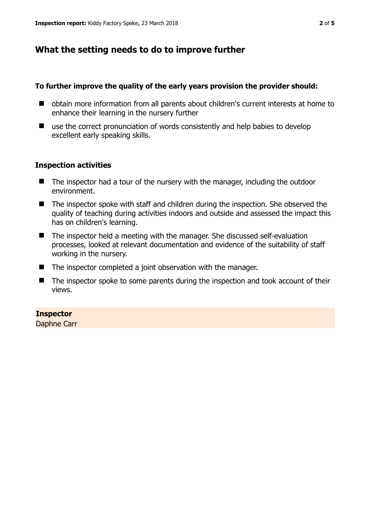# **What the setting needs to do to improve further**

## **To further improve the quality of the early years provision the provider should:**

- obtain more information from all parents about children's current interests at home to enhance their learning in the nursery further
- use the correct pronunciation of words consistently and help babies to develop excellent early speaking skills.

## **Inspection activities**

- The inspector had a tour of the nursery with the manager, including the outdoor environment.
- The inspector spoke with staff and children during the inspection. She observed the quality of teaching during activities indoors and outside and assessed the impact this has on children's learning.
- The inspector held a meeting with the manager. She discussed self-evaluation processes, looked at relevant documentation and evidence of the suitability of staff working in the nursery.
- $\blacksquare$  The inspector completed a joint observation with the manager.
- The inspector spoke to some parents during the inspection and took account of their views.

## **Inspector**

Daphne Carr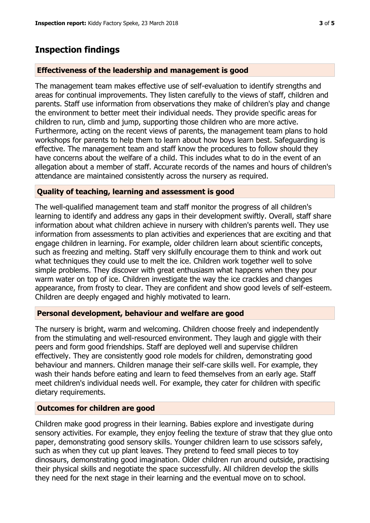## **Inspection findings**

#### **Effectiveness of the leadership and management is good**

The management team makes effective use of self-evaluation to identify strengths and areas for continual improvements. They listen carefully to the views of staff, children and parents. Staff use information from observations they make of children's play and change the environment to better meet their individual needs. They provide specific areas for children to run, climb and jump, supporting those children who are more active. Furthermore, acting on the recent views of parents, the management team plans to hold workshops for parents to help them to learn about how boys learn best. Safeguarding is effective. The management team and staff know the procedures to follow should they have concerns about the welfare of a child. This includes what to do in the event of an allegation about a member of staff. Accurate records of the names and hours of children's attendance are maintained consistently across the nursery as required.

#### **Quality of teaching, learning and assessment is good**

The well-qualified management team and staff monitor the progress of all children's learning to identify and address any gaps in their development swiftly. Overall, staff share information about what children achieve in nursery with children's parents well. They use information from assessments to plan activities and experiences that are exciting and that engage children in learning. For example, older children learn about scientific concepts, such as freezing and melting. Staff very skilfully encourage them to think and work out what techniques they could use to melt the ice. Children work together well to solve simple problems. They discover with great enthusiasm what happens when they pour warm water on top of ice. Children investigate the way the ice crackles and changes appearance, from frosty to clear. They are confident and show good levels of self-esteem. Children are deeply engaged and highly motivated to learn.

#### **Personal development, behaviour and welfare are good**

The nursery is bright, warm and welcoming. Children choose freely and independently from the stimulating and well-resourced environment. They laugh and giggle with their peers and form good friendships. Staff are deployed well and supervise children effectively. They are consistently good role models for children, demonstrating good behaviour and manners. Children manage their self-care skills well. For example, they wash their hands before eating and learn to feed themselves from an early age. Staff meet children's individual needs well. For example, they cater for children with specific dietary requirements.

#### **Outcomes for children are good**

Children make good progress in their learning. Babies explore and investigate during sensory activities. For example, they enjoy feeling the texture of straw that they glue onto paper, demonstrating good sensory skills. Younger children learn to use scissors safely, such as when they cut up plant leaves. They pretend to feed small pieces to toy dinosaurs, demonstrating good imagination. Older children run around outside, practising their physical skills and negotiate the space successfully. All children develop the skills they need for the next stage in their learning and the eventual move on to school.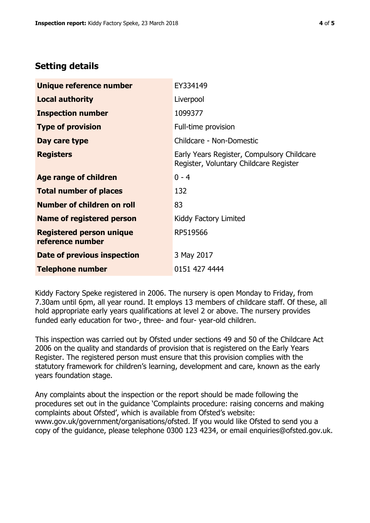# **Setting details**

| Unique reference number                             | EY334149                                                                             |  |
|-----------------------------------------------------|--------------------------------------------------------------------------------------|--|
| <b>Local authority</b>                              | Liverpool                                                                            |  |
| <b>Inspection number</b>                            | 1099377                                                                              |  |
| <b>Type of provision</b>                            | Full-time provision                                                                  |  |
| Day care type                                       | Childcare - Non-Domestic                                                             |  |
| <b>Registers</b>                                    | Early Years Register, Compulsory Childcare<br>Register, Voluntary Childcare Register |  |
| Age range of children                               | $0 - 4$                                                                              |  |
| <b>Total number of places</b>                       | 132                                                                                  |  |
| Number of children on roll                          | 83                                                                                   |  |
| Name of registered person                           | Kiddy Factory Limited                                                                |  |
| <b>Registered person unique</b><br>reference number | RP519566                                                                             |  |
| Date of previous inspection                         | 3 May 2017                                                                           |  |
| <b>Telephone number</b>                             | 0151 427 4444                                                                        |  |

Kiddy Factory Speke registered in 2006. The nursery is open Monday to Friday, from 7.30am until 6pm, all year round. It employs 13 members of childcare staff. Of these, all hold appropriate early years qualifications at level 2 or above. The nursery provides funded early education for two-, three- and four- year-old children.

This inspection was carried out by Ofsted under sections 49 and 50 of the Childcare Act 2006 on the quality and standards of provision that is registered on the Early Years Register. The registered person must ensure that this provision complies with the statutory framework for children's learning, development and care, known as the early years foundation stage.

Any complaints about the inspection or the report should be made following the procedures set out in the guidance 'Complaints procedure: raising concerns and making complaints about Ofsted', which is available from Ofsted's website: www.gov.uk/government/organisations/ofsted. If you would like Ofsted to send you a copy of the guidance, please telephone 0300 123 4234, or email enquiries@ofsted.gov.uk.